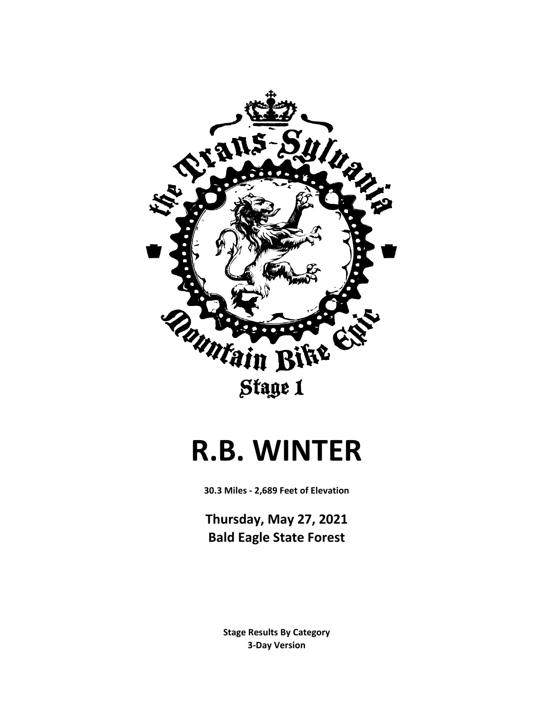

#### **R.B. WINTER**

**30.3 Miles - 2,689 Feet of Elevation**

**Thursday, May 27, 2021 Bald Eagle State Forest**

> **3-Day Version Stage Results By Category**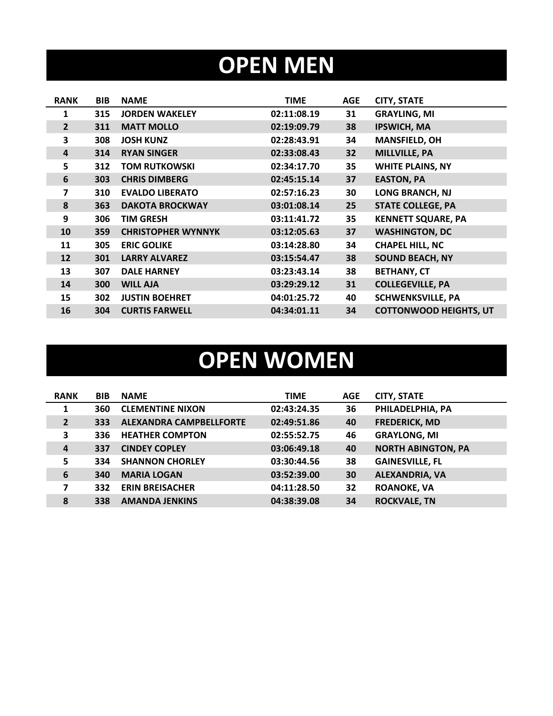## **OPEN MEN**

| <b>RANK</b>    | <b>BIB</b> | <b>NAME</b>               | <b>TIME</b> | <b>AGE</b> | <b>CITY, STATE</b>            |
|----------------|------------|---------------------------|-------------|------------|-------------------------------|
| 1              | 315        | <b>JORDEN WAKELEY</b>     | 02:11:08.19 | 31         | <b>GRAYLING, MI</b>           |
| $\overline{2}$ | 311        | <b>MATT MOLLO</b>         | 02:19:09.79 | 38         | <b>IPSWICH, MA</b>            |
| 3              | 308        | <b>JOSH KUNZ</b>          | 02:28:43.91 | 34         | <b>MANSFIELD, OH</b>          |
| $\overline{4}$ | 314        | <b>RYAN SINGER</b>        | 02:33:08.43 | 32         | <b>MILLVILLE, PA</b>          |
| 5              | 312        | <b>TOM RUTKOWSKI</b>      | 02:34:17.70 | 35         | <b>WHITE PLAINS, NY</b>       |
| 6              | 303        | <b>CHRIS DIMBERG</b>      | 02:45:15.14 | 37         | <b>EASTON, PA</b>             |
| $\overline{7}$ | 310        | <b>EVALDO LIBERATO</b>    | 02:57:16.23 | 30         | <b>LONG BRANCH, NJ</b>        |
| 8              | 363        | <b>DAKOTA BROCKWAY</b>    | 03:01:08.14 | 25         | <b>STATE COLLEGE, PA</b>      |
| 9              | 306        | <b>TIM GRESH</b>          | 03:11:41.72 | 35         | <b>KENNETT SQUARE, PA</b>     |
| 10             | 359        | <b>CHRISTOPHER WYNNYK</b> | 03:12:05.63 | 37         | <b>WASHINGTON, DC</b>         |
| 11             | 305        | <b>ERIC GOLIKE</b>        | 03:14:28.80 | 34         | <b>CHAPEL HILL, NC</b>        |
| 12             | 301        | <b>LARRY ALVAREZ</b>      | 03:15:54.47 | 38         | <b>SOUND BEACH, NY</b>        |
| 13             | 307        | <b>DALE HARNEY</b>        | 03:23:43.14 | 38         | <b>BETHANY, CT</b>            |
| 14             | 300        | <b>WILL AJA</b>           | 03:29:29.12 | 31         | <b>COLLEGEVILLE, PA</b>       |
| 15             | 302        | <b>JUSTIN BOEHRET</b>     | 04:01:25.72 | 40         | <b>SCHWENKSVILLE, PA</b>      |
| 16             | 304        | <b>CURTIS FARWELL</b>     | 04:34:01.11 | 34         | <b>COTTONWOOD HEIGHTS, UT</b> |

## **OPEN WOMEN**

| <b>RANK</b>    | <b>BIB</b> | <b>NAME</b>                    | <b>TIME</b> | <b>AGE</b> | <b>CITY, STATE</b>        |
|----------------|------------|--------------------------------|-------------|------------|---------------------------|
| $\mathbf{1}$   | 360        | <b>CLEMENTINE NIXON</b>        | 02:43:24.35 | 36         | PHILADELPHIA, PA          |
| $\overline{2}$ | 333        | <b>ALEXANDRA CAMPBELLFORTE</b> | 02:49:51.86 | 40         | <b>FREDERICK, MD</b>      |
| 3              | 336        | <b>HEATHER COMPTON</b>         | 02:55:52.75 | 46         | <b>GRAYLONG, MI</b>       |
| $\overline{a}$ | 337        | <b>CINDEY COPLEY</b>           | 03:06:49.18 | 40         | <b>NORTH ABINGTON, PA</b> |
| 5              | 334        | <b>SHANNON CHORLEY</b>         | 03:30:44.56 | 38         | <b>GAINESVILLE, FL</b>    |
| 6              | 340        | <b>MARIA LOGAN</b>             | 03:52:39.00 | 30         | <b>ALEXANDRIA, VA</b>     |
| 7              | 332        | <b>ERIN BREISACHER</b>         | 04:11:28.50 | 32         | <b>ROANOKE, VA</b>        |
| 8              | 338        | <b>AMANDA JENKINS</b>          | 04:38:39.08 | 34         | <b>ROCKVALE, TN</b>       |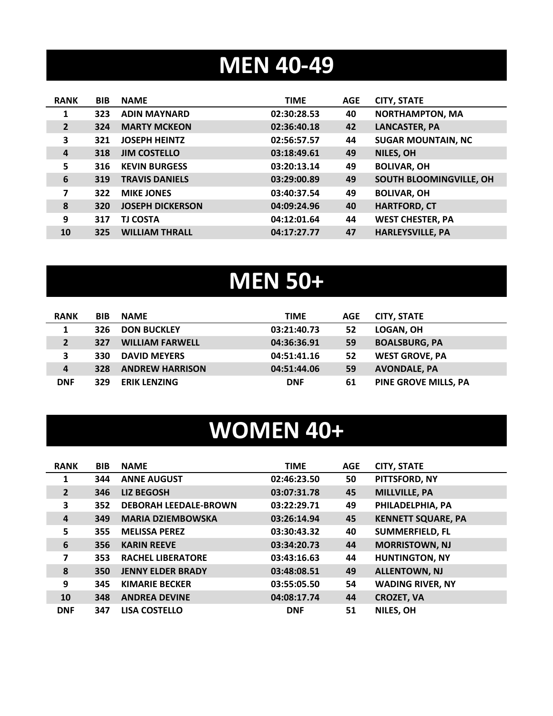## **MEN 40-49**

| <b>RANK</b>    | <b>BIB</b> | <b>NAME</b>             | <b>TIME</b> | <b>AGE</b> | <b>CITY, STATE</b>        |
|----------------|------------|-------------------------|-------------|------------|---------------------------|
| 1              | 323        | <b>ADIN MAYNARD</b>     | 02:30:28.53 | 40         | <b>NORTHAMPTON, MA</b>    |
| $\overline{2}$ | 324        | <b>MARTY MCKEON</b>     | 02:36:40.18 | 42         | <b>LANCASTER, PA</b>      |
| 3              | 321        | <b>JOSEPH HEINTZ</b>    | 02:56:57.57 | 44         | <b>SUGAR MOUNTAIN, NC</b> |
| $\overline{4}$ | 318        | <b>JIM COSTELLO</b>     | 03:18:49.61 | 49         | NILES, OH                 |
| 5              | 316        | <b>KEVIN BURGESS</b>    | 03:20:13.14 | 49         | <b>BOLIVAR, OH</b>        |
| 6              | 319        | <b>TRAVIS DANIELS</b>   | 03:29:00.89 | 49         | SOUTH BLOOMINGVILLE, OH   |
| 7              | 322        | <b>MIKE JONES</b>       | 03:40:37.54 | 49         | <b>BOLIVAR, OH</b>        |
| 8              | 320        | <b>JOSEPH DICKERSON</b> | 04:09:24.96 | 40         | <b>HARTFORD, CT</b>       |
| 9              | 317        | <b>TJ COSTA</b>         | 04:12:01.64 | 44         | <b>WEST CHESTER, PA</b>   |
| 10             | 325        | <b>WILLIAM THRALL</b>   | 04:17:27.77 | 47         | <b>HARLEYSVILLE, PA</b>   |

## **MEN 50+**

| <b>RANK</b> | <b>BIB</b> | <b>NAME</b>            | <b>TIME</b> | AGE | <b>CITY, STATE</b>    |
|-------------|------------|------------------------|-------------|-----|-----------------------|
|             | 326        | <b>DON BUCKLEY</b>     | 03:21:40.73 | 52  | LOGAN, OH             |
|             | 327        | <b>WILLIAM FARWELL</b> | 04:36:36.91 | 59  | <b>BOALSBURG, PA</b>  |
| 3           | 330        | <b>DAVID MEYERS</b>    | 04:51:41.16 | 52  | <b>WEST GROVE, PA</b> |
| 4           | 328        | <b>ANDREW HARRISON</b> | 04:51:44.06 | 59  | <b>AVONDALE, PA</b>   |
| <b>DNF</b>  | 329        | <b>ERIK LENZING</b>    | <b>DNF</b>  | 61  | PINE GROVE MILLS, PA  |

#### **WOMEN 40+**

| <b>RANK</b>    | <b>BIB</b> | <b>NAME</b>                  | <b>TIME</b> | <b>AGE</b> | <b>CITY, STATE</b>        |
|----------------|------------|------------------------------|-------------|------------|---------------------------|
| 1              | 344        | <b>ANNE AUGUST</b>           | 02:46:23.50 | 50         | PITTSFORD, NY             |
| $\overline{2}$ | 346        | <b>LIZ BEGOSH</b>            | 03:07:31.78 | 45         | <b>MILLVILLE, PA</b>      |
| 3              | 352        | <b>DEBORAH LEEDALE-BROWN</b> | 03:22:29.71 | 49         | PHILADELPHIA, PA          |
| 4              | 349        | <b>MARIA DZIEMBOWSKA</b>     | 03:26:14.94 | 45         | <b>KENNETT SQUARE, PA</b> |
| 5              | 355        | <b>MELISSA PEREZ</b>         | 03:30:43.32 | 40         | <b>SUMMERFIELD, FL</b>    |
| 6              | 356        | <b>KARIN REEVE</b>           | 03:34:20.73 | 44         | <b>MORRISTOWN, NJ</b>     |
| 7              | 353        | <b>RACHEL LIBERATORE</b>     | 03:43:16.63 | 44         | <b>HUNTINGTON, NY</b>     |
| 8              | 350        | <b>JENNY ELDER BRADY</b>     | 03:48:08.51 | 49         | <b>ALLENTOWN, NJ</b>      |
| 9              | 345        | <b>KIMARIE BECKER</b>        | 03:55:05.50 | 54         | <b>WADING RIVER, NY</b>   |
| 10             | 348        | <b>ANDREA DEVINE</b>         | 04:08:17.74 | 44         | <b>CROZET, VA</b>         |
| <b>DNF</b>     | 347        | <b>LISA COSTELLO</b>         | <b>DNF</b>  | 51         | NILES, OH                 |